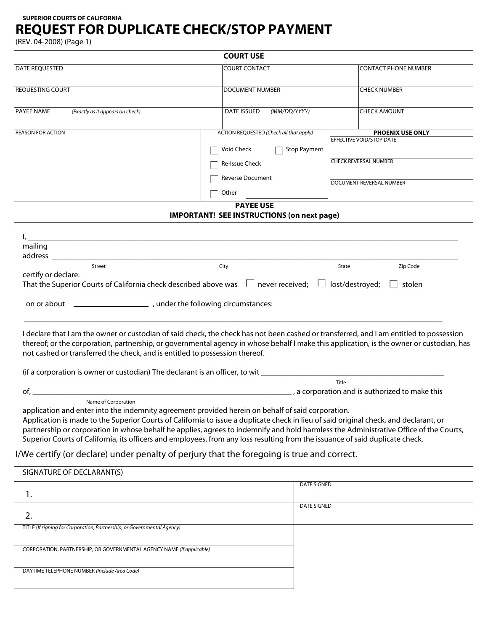**SUPERIOR COURTS OF CALIFORNIA**

## **REQUEST FOR DUPLICATE CHECK/STOP PAYMENT**

(REV. 04-2008) (Page 1)

|                                                                             | <b>COURT USE</b>                                                                                                                                                                                                                                                                                                                                                                                                                                                                                                     |                                                                                                                         |  |
|-----------------------------------------------------------------------------|----------------------------------------------------------------------------------------------------------------------------------------------------------------------------------------------------------------------------------------------------------------------------------------------------------------------------------------------------------------------------------------------------------------------------------------------------------------------------------------------------------------------|-------------------------------------------------------------------------------------------------------------------------|--|
| DATE REQUESTED                                                              | <b>COURT CONTACT</b>                                                                                                                                                                                                                                                                                                                                                                                                                                                                                                 | <b>CONTACT PHONE NUMBER</b>                                                                                             |  |
| <b>REQUESTING COURT</b>                                                     | <b>DOCUMENT NUMBER</b>                                                                                                                                                                                                                                                                                                                                                                                                                                                                                               | <b>CHECK NUMBER</b>                                                                                                     |  |
| PAYEE NAME<br>(Exactly as it appears on check)                              | <b>DATE ISSUED</b><br>(MM/DD/YYYY)                                                                                                                                                                                                                                                                                                                                                                                                                                                                                   | <b>CHECK AMOUNT</b>                                                                                                     |  |
| <b>REASON FOR ACTION</b>                                                    | ACTION REQUESTED (Check all that apply)                                                                                                                                                                                                                                                                                                                                                                                                                                                                              | <b>PHOENIX USE ONLY</b>                                                                                                 |  |
|                                                                             | <b>Stop Payment</b><br>Void Check                                                                                                                                                                                                                                                                                                                                                                                                                                                                                    | EFFECTIVE VOID/STOP DATE                                                                                                |  |
|                                                                             | Re-Issue Check                                                                                                                                                                                                                                                                                                                                                                                                                                                                                                       | <b>CHECK REVERSAL NUMBER</b>                                                                                            |  |
|                                                                             | Reverse Document                                                                                                                                                                                                                                                                                                                                                                                                                                                                                                     |                                                                                                                         |  |
|                                                                             | Other                                                                                                                                                                                                                                                                                                                                                                                                                                                                                                                | DOCUMENT REVERSAL NUMBER                                                                                                |  |
|                                                                             | <b>PAYEE USE</b>                                                                                                                                                                                                                                                                                                                                                                                                                                                                                                     |                                                                                                                         |  |
|                                                                             | <b>IMPORTANT! SEE INSTRUCTIONS (on next page)</b>                                                                                                                                                                                                                                                                                                                                                                                                                                                                    |                                                                                                                         |  |
|                                                                             |                                                                                                                                                                                                                                                                                                                                                                                                                                                                                                                      |                                                                                                                         |  |
| mailing                                                                     | и производство на селото на селото на селото на селото на селото на селото на селото на селото на селото на се<br>Селото на селото на селото на селото на селото на селото на селото на селото на селото на селото на селото на                                                                                                                                                                                                                                                                                      |                                                                                                                         |  |
|                                                                             |                                                                                                                                                                                                                                                                                                                                                                                                                                                                                                                      |                                                                                                                         |  |
| Street                                                                      | City                                                                                                                                                                                                                                                                                                                                                                                                                                                                                                                 | Zip Code<br>State                                                                                                       |  |
| certify or declare:                                                         |                                                                                                                                                                                                                                                                                                                                                                                                                                                                                                                      |                                                                                                                         |  |
|                                                                             | That the Superior Courts of California check described above was $\Box$ never received; $\Box$ lost/destroyed;                                                                                                                                                                                                                                                                                                                                                                                                       | $\Box$ stolen                                                                                                           |  |
|                                                                             |                                                                                                                                                                                                                                                                                                                                                                                                                                                                                                                      |                                                                                                                         |  |
| not cashed or transferred the check, and is entitled to possession thereof. | I declare that I am the owner or custodian of said check, the check has not been cashed or transferred, and I am entitled to possession<br>thereof; or the corporation, partnership, or governmental agency in whose behalf I make this application, is the owner or custodian, has                                                                                                                                                                                                                                  |                                                                                                                         |  |
|                                                                             |                                                                                                                                                                                                                                                                                                                                                                                                                                                                                                                      |                                                                                                                         |  |
|                                                                             |                                                                                                                                                                                                                                                                                                                                                                                                                                                                                                                      | Title<br>a corporation and is authorized to make this (2008) a substitution of the contract of the contract of the cont |  |
| of,<br>Name of Corporation                                                  |                                                                                                                                                                                                                                                                                                                                                                                                                                                                                                                      |                                                                                                                         |  |
|                                                                             | application and enter into the indemnity agreement provided herein on behalf of said corporation.<br>Application is made to the Superior Courts of California to issue a duplicate check in lieu of said original check, and declarant, or<br>partnership or corporation in whose behalf he applies, agrees to indemnify and hold harmless the Administrative Office of the Courts,<br>Superior Courts of California, its officers and employees, from any loss resulting from the issuance of said duplicate check. |                                                                                                                         |  |
|                                                                             | I/We certify (or declare) under penalty of perjury that the foregoing is true and correct.                                                                                                                                                                                                                                                                                                                                                                                                                           |                                                                                                                         |  |
| SIGNATURE OF DECLARANT(S)                                                   |                                                                                                                                                                                                                                                                                                                                                                                                                                                                                                                      |                                                                                                                         |  |
| 1.                                                                          | <b>DATE SIGNED</b>                                                                                                                                                                                                                                                                                                                                                                                                                                                                                                   |                                                                                                                         |  |
| 2.                                                                          | <b>DATE SIGNED</b>                                                                                                                                                                                                                                                                                                                                                                                                                                                                                                   |                                                                                                                         |  |
| TITLE (If signing for Corporation, Partnership, or Governmental Agency)     |                                                                                                                                                                                                                                                                                                                                                                                                                                                                                                                      |                                                                                                                         |  |
| CORPORATION, PARTNERSHIP, OR GOVERNMENTAL AGENCY NAME (If applicable)       |                                                                                                                                                                                                                                                                                                                                                                                                                                                                                                                      |                                                                                                                         |  |
| DAYTIME TELEPHONE NUMBER (Include Area Code)                                |                                                                                                                                                                                                                                                                                                                                                                                                                                                                                                                      |                                                                                                                         |  |